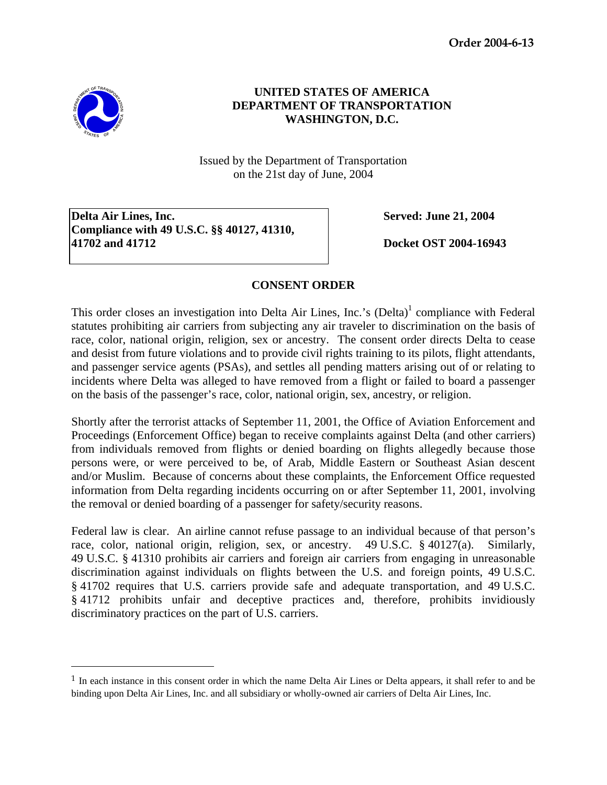**Order 2004-6-13** 



-

## **UNITED STATES OF AMERICA DEPARTMENT OF TRANSPORTATION WASHINGTON, D.C.**

Issued by the Department of Transportation on the 21st day of June, 2004

**Delta Air Lines, Inc.** Served: June 21, 2004 **Compliance with 49 U.S.C. §§ 40127, 41310, 41702 and 41712 Docket OST 2004-16943** 

## **CONSENT ORDER**

This order closes an investigation into Delta Air Lines, Inc.'s (Delta)<sup>[1](#page-0-0)</sup> compliance with Federal statutes prohibiting air carriers from subjecting any air traveler to discrimination on the basis of race, color, national origin, religion, sex or ancestry. The consent order directs Delta to cease and desist from future violations and to provide civil rights training to its pilots, flight attendants, and passenger service agents (PSAs), and settles all pending matters arising out of or relating to incidents where Delta was alleged to have removed from a flight or failed to board a passenger on the basis of the passenger's race, color, national origin, sex, ancestry, or religion.

Shortly after the terrorist attacks of September 11, 2001, the Office of Aviation Enforcement and Proceedings (Enforcement Office) began to receive complaints against Delta (and other carriers) from individuals removed from flights or denied boarding on flights allegedly because those persons were, or were perceived to be, of Arab, Middle Eastern or Southeast Asian descent and/or Muslim. Because of concerns about these complaints, the Enforcement Office requested information from Delta regarding incidents occurring on or after September 11, 2001, involving the removal or denied boarding of a passenger for safety/security reasons.

Federal law is clear. An airline cannot refuse passage to an individual because of that person's race, color, national origin, religion, sex, or ancestry. 49 U.S.C. § 40127(a). Similarly, 49 U.S.C. § 41310 prohibits air carriers and foreign air carriers from engaging in unreasonable discrimination against individuals on flights between the U.S. and foreign points, 49 U.S.C. § 41702 requires that U.S. carriers provide safe and adequate transportation, and 49 U.S.C. § 41712 prohibits unfair and deceptive practices and, therefore, prohibits invidiously discriminatory practices on the part of U.S. carriers.

<span id="page-0-0"></span><sup>&</sup>lt;sup>1</sup> In each instance in this consent order in which the name Delta Air Lines or Delta appears, it shall refer to and be binding upon Delta Air Lines, Inc. and all subsidiary or wholly-owned air carriers of Delta Air Lines, Inc.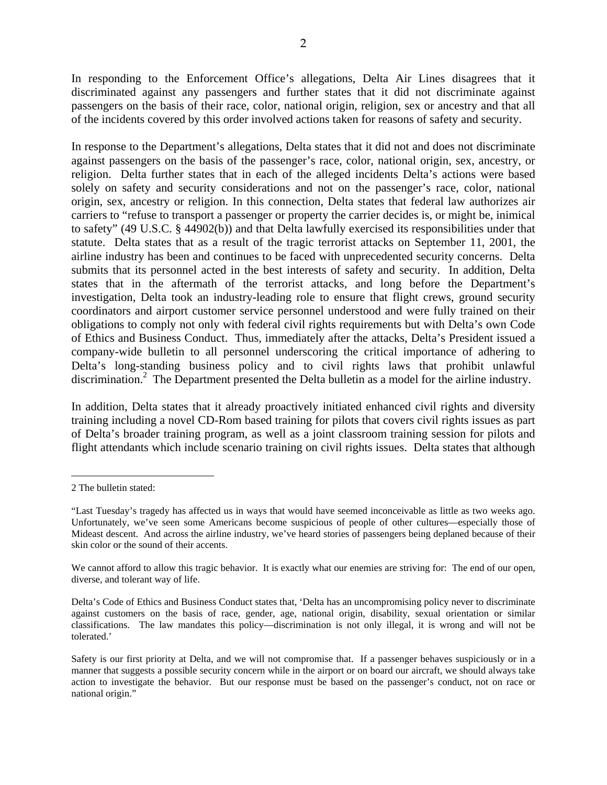In responding to the Enforcement Office's allegations, Delta Air Lines disagrees that it discriminated against any passengers and further states that it did not discriminate against passengers on the basis of their race, color, national origin, religion, sex or ancestry and that all of the incidents covered by this order involved actions taken for reasons of safety and security.

In response to the Department's allegations, Delta states that it did not and does not discriminate against passengers on the basis of the passenger's race, color, national origin, sex, ancestry, or religion. Delta further states that in each of the alleged incidents Delta's actions were based solely on safety and security considerations and not on the passenger's race, color, national origin, sex, ancestry or religion. In this connection, Delta states that federal law authorizes air carriers to "refuse to transport a passenger or property the carrier decides is, or might be, inimical to safety" (49 U.S.C. § 44902(b)) and that Delta lawfully exercised its responsibilities under that statute. Delta states that as a result of the tragic terrorist attacks on September 11, 2001, the airline industry has been and continues to be faced with unprecedented security concerns. Delta submits that its personnel acted in the best interests of safety and security. In addition, Delta states that in the aftermath of the terrorist attacks, and long before the Department's investigation, Delta took an industry-leading role to ensure that flight crews, ground security coordinators and airport customer service personnel understood and were fully trained on their obligations to comply not only with federal civil rights requirements but with Delta's own Code of Ethics and Business Conduct. Thus, immediately after the attacks, Delta's President issued a company-wide bulletin to all personnel underscoring the critical importance of adhering to Delta's long-standing business policy and to civil rights laws that prohibit unlawful discrimination.<sup>2</sup> The Department presented the Delta bulletin as a model for the airline industry.

In addition, Delta states that it already proactively initiated enhanced civil rights and diversity training including a novel CD-Rom based training for pilots that covers civil rights issues as part of Delta's broader training program, as well as a joint classroom training session for pilots and flight attendants which include scenario training on civil rights issues. Delta states that although

-

<span id="page-1-0"></span><sup>2</sup> The bulletin stated:

<sup>&</sup>quot;Last Tuesday's tragedy has affected us in ways that would have seemed inconceivable as little as two weeks ago. Unfortunately, we've seen some Americans become suspicious of people of other cultures—especially those of Mideast descent. And across the airline industry, we've heard stories of passengers being deplaned because of their skin color or the sound of their accents.

We cannot afford to allow this tragic behavior. It is exactly what our enemies are striving for: The end of our open, diverse, and tolerant way of life.

Delta's Code of Ethics and Business Conduct states that, 'Delta has an uncompromising policy never to discriminate against customers on the basis of race, gender, age, national origin, disability, sexual orientation or similar classifications. The law mandates this policy—discrimination is not only illegal, it is wrong and will not be tolerated.'

Safety is our first priority at Delta, and we will not compromise that. If a passenger behaves suspiciously or in a manner that suggests a possible security concern while in the airport or on board our aircraft, we should always take action to investigate the behavior. But our response must be based on the passenger's conduct, not on race or national origin."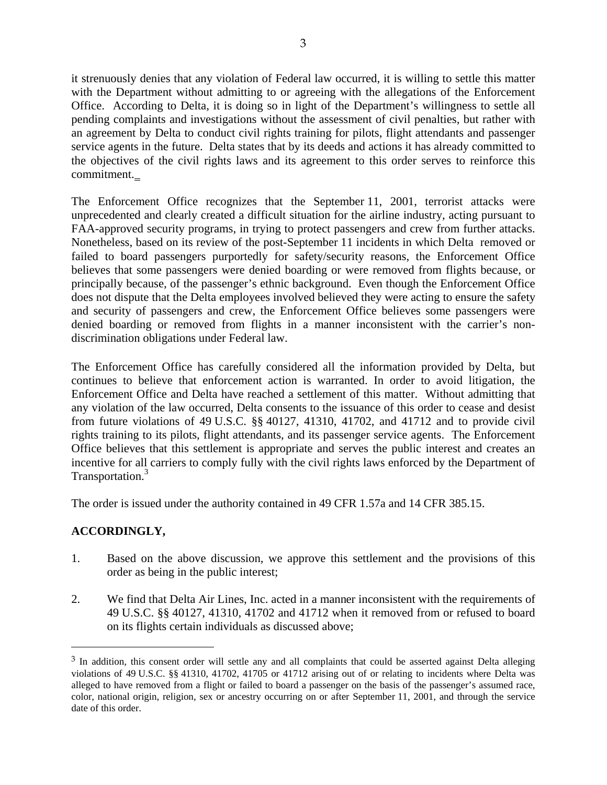it strenuously denies that any violation of Federal law occurred, it is willing to settle this matter with the Department without admitting to or agreeing with the allegations of the Enforcement Office. According to Delta, it is doing so in light of the Department's willingness to settle all pending complaints and investigations without the assessment of civil penalties, but rather with an agreement by Delta to conduct civil rights training for pilots, flight attendants and passenger service agents in the future. Delta states that by its deeds and actions it has already committed to the objectives of the civil rights laws and its agreement to this order serves to reinforce this commitment.

The Enforcement Office recognizes that the September 11, 2001, terrorist attacks were unprecedented and clearly created a difficult situation for the airline industry, acting pursuant to FAA-approved security programs, in trying to protect passengers and crew from further attacks. Nonetheless, based on its review of the post-September 11 incidents in which Delta removed or failed to board passengers purportedly for safety/security reasons, the Enforcement Office believes that some passengers were denied boarding or were removed from flights because, or principally because, of the passenger's ethnic background. Even though the Enforcement Office does not dispute that the Delta employees involved believed they were acting to ensure the safety and security of passengers and crew, the Enforcement Office believes some passengers were denied boarding or removed from flights in a manner inconsistent with the carrier's nondiscrimination obligations under Federal law.

The Enforcement Office has carefully considered all the information provided by Delta, but continues to believe that enforcement action is warranted. In order to avoid litigation, the Enforcement Office and Delta have reached a settlement of this matter. Without admitting that any violation of the law occurred, Delta consents to the issuance of this order to cease and desist from future violations of 49 U.S.C. §§ 40127, 41310, 41702, and 41712 and to provide civil rights training to its pilots, flight attendants, and its passenger service agents. The Enforcement Office believes that this settlement is appropriate and serves the public interest and creates an incentive for all carriers to comply fully with the civil rights laws enforced by the Department of Transportation.<sup>[3](#page-2-0)</sup>

The order is issued under the authority contained in 49 CFR 1.57a and 14 CFR 385.15.

## **ACCORDINGLY,**

<u>.</u>

- 1. Based on the above discussion, we approve this settlement and the provisions of this order as being in the public interest;
- 2. We find that Delta Air Lines, Inc. acted in a manner inconsistent with the requirements of 49 U.S.C. §§ 40127, 41310, 41702 and 41712 when it removed from or refused to board on its flights certain individuals as discussed above;

<span id="page-2-0"></span><sup>&</sup>lt;sup>3</sup> In addition, this consent order will settle any and all complaints that could be asserted against Delta alleging violations of 49 U.S.C. §§ 41310, 41702, 41705 or 41712 arising out of or relating to incidents where Delta was alleged to have removed from a flight or failed to board a passenger on the basis of the passenger's assumed race, color, national origin, religion, sex or ancestry occurring on or after September 11, 2001, and through the service date of this order.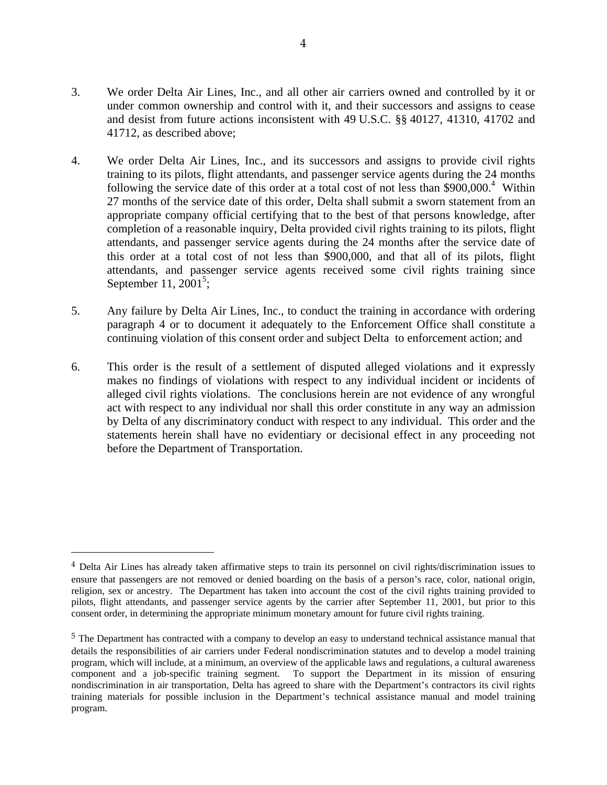- 3. We order Delta Air Lines, Inc., and all other air carriers owned and controlled by it or under common ownership and control with it, and their successors and assigns to cease and desist from future actions inconsistent with 49 U.S.C. §§ 40127, 41310, 41702 and 41712, as described above;
- 4. We order Delta Air Lines, Inc., and its successors and assigns to provide civil rights training to its pilots, flight attendants, and passenger service agents during the 24 months following the service date of this order at a total cost of not less than \$900,000.<sup>[4](#page-3-0)</sup> Within 27 months of the service date of this order, Delta shall submit a sworn statement from an appropriate company official certifying that to the best of that persons knowledge, after completion of a reasonable inquiry, Delta provided civil rights training to its pilots, flight attendants, and passenger service agents during the 24 months after the service date of this order at a total cost of not less than \$900,000, and that all of its pilots, flight attendants, and passenger service agents received some civil rights training since September 11,  $2001^5$ ;
- 5. Any failure by Delta Air Lines, Inc., to conduct the training in accordance with ordering paragraph 4 or to document it adequately to the Enforcement Office shall constitute a continuing violation of this consent order and subject Delta to enforcement action; and
- 6. This order is the result of a settlement of disputed alleged violations and it expressly makes no findings of violations with respect to any individual incident or incidents of alleged civil rights violations. The conclusions herein are not evidence of any wrongful act with respect to any individual nor shall this order constitute in any way an admission by Delta of any discriminatory conduct with respect to any individual. This order and the statements herein shall have no evidentiary or decisional effect in any proceeding not before the Department of Transportation.

<u>.</u>

<span id="page-3-0"></span><sup>&</sup>lt;sup>4</sup> Delta Air Lines has already taken affirmative steps to train its personnel on civil rights/discrimination issues to ensure that passengers are not removed or denied boarding on the basis of a person's race, color, national origin, religion, sex or ancestry. The Department has taken into account the cost of the civil rights training provided to pilots, flight attendants, and passenger service agents by the carrier after September 11, 2001, but prior to this consent order, in determining the appropriate minimum monetary amount for future civil rights training.

<span id="page-3-1"></span><sup>5</sup> The Department has contracted with a company to develop an easy to understand technical assistance manual that details the responsibilities of air carriers under Federal nondiscrimination statutes and to develop a model training program, which will include, at a minimum, an overview of the applicable laws and regulations, a cultural awareness component and a job-specific training segment. To support the Department in its mission of ensuring nondiscrimination in air transportation, Delta has agreed to share with the Department's contractors its civil rights training materials for possible inclusion in the Department's technical assistance manual and model training program.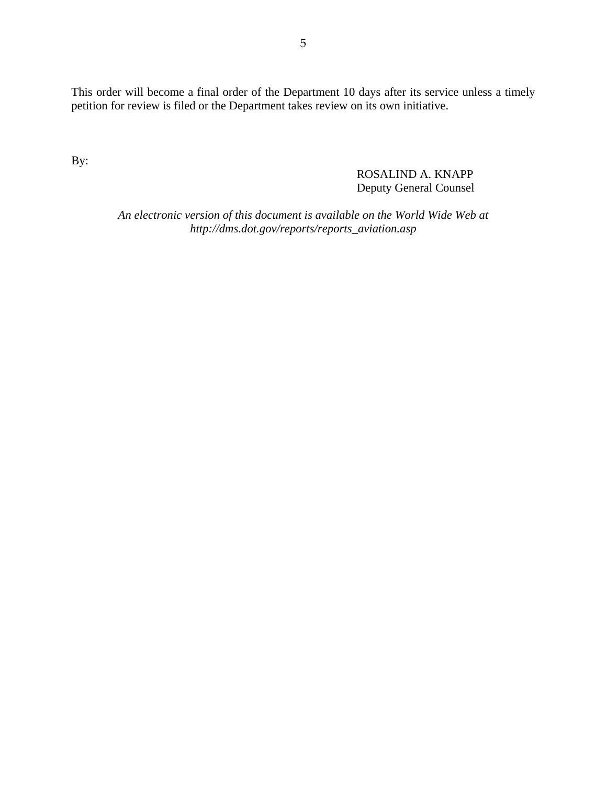This order will become a final order of the Department 10 days after its service unless a timely petition for review is filed or the Department takes review on its own initiative.

By:

ROSALIND A. KNAPP Deputy General Counsel

*An electronic version of this document is available on the World Wide Web at http://dms.dot.gov/reports/reports\_aviation.asp*